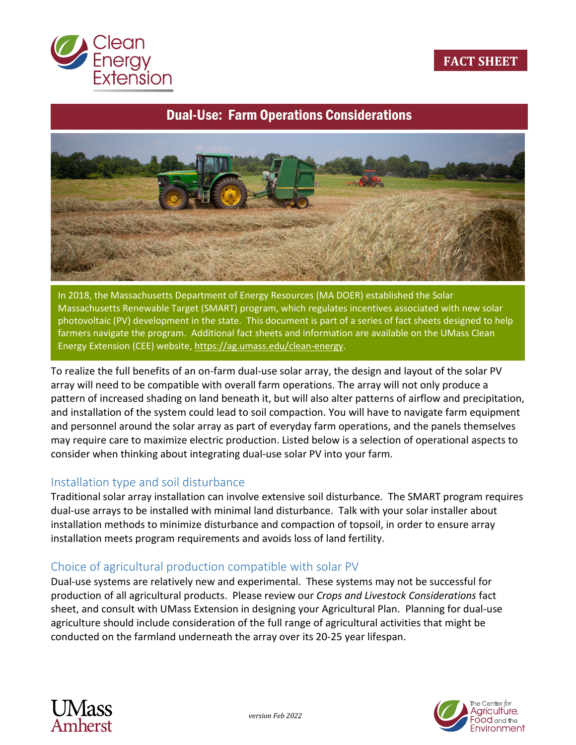

# Dual-Use: Farm Operations Considerations



In 2018, the Massachusetts Department of Energy Resources (MA DOER) established the Solar Massachusetts Renewable Target (SMART) program, which regulates incentives associated with new solar photovoltaic (PV) development in the state. This document is part of a series of fact sheets designed to help farmers navigate the program. Additional fact sheets and information are available on the UMass Clean Energy Extension (CEE) website[, https://ag.umass.edu/clean-energy.](https://ag.umass.edu/clean-energy)

To realize the full benefits of an on-farm dual-use solar array, the design and layout of the solar PV array will need to be compatible with overall farm operations. The array will not only produce a pattern of increased shading on land beneath it, but will also alter patterns of airflow and precipitation, and installation of the system could lead to soil compaction. You will have to navigate farm equipment and personnel around the solar array as part of everyday farm operations, and the panels themselves may require care to maximize electric production. Listed below is a selection of operational aspects to consider when thinking about integrating dual-use solar PV into your farm.

## Installation type and soil disturbance

Traditional solar array installation can involve extensive soil disturbance. The SMART program requires dual-use arrays to be installed with minimal land disturbance. Talk with your solar installer about installation methods to minimize disturbance and compaction of topsoil, in order to ensure array installation meets program requirements and avoids loss of land fertility.

## Choice of agricultural production compatible with solar PV

Dual-use systems are relatively new and experimental. These systems may not be successful for production of all agricultural products. Please review our *Crops and Livestock Considerations* fact sheet, and consult with UMass Extension in designing your Agricultural Plan. Planning for dual-use agriculture should include consideration of the full range of agricultural activities that might be conducted on the farmland underneath the array over its 20-25 year lifespan.